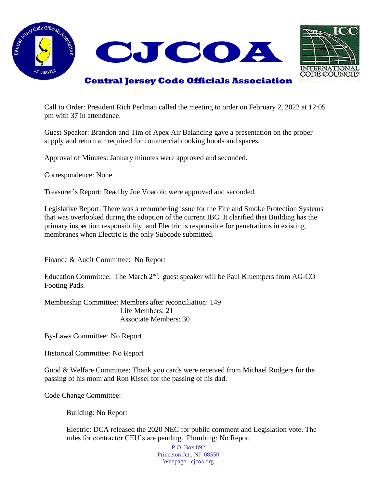



## **Central Jersey Code Officials Association**

Call to Order: President Rich Perlman called the meeting to order on February 2, 2022 at 12:05 pm with 37 in attendance.

Guest Speaker: Brandon and Tim of Apex Air Balancing gave a presentation on the proper supply and return air required for commercial cooking hoods and spaces.

Approval of Minutes: January minutes were approved and seconded.

Correspondence: None

Treasurer's Report: Read by Joe Voacolo were approved and seconded.

Legislative Report: There was a renumbering issue for the Fire and Smoke Protection Systems that was overlooked during the adoption of the current IBC. It clarified that Building has the primary inspection responsibility, and Electric is responsible for penetrations in existing membranes when Electric is the only Subcode submitted.

Finance & Audit Committee: No Report

Education Committee: The March  $2<sup>nd</sup>$ . guest speaker will be Paul Kluempers from AG-CO Footing Pads.

Membership Committee: Members after reconciliation: 149 Life Members: 21 Associate Members: 30

By-Laws Committee: No Report

Historical Committee: No Report

Good & Welfare Committee: Thank you cards were received from Michael Rodgers for the passing of his mom and Ron Kissel for the passing of his dad.

Code Change Committee:

Building: No Report

Electric: DCA released the 2020 NEC for public comment and Legislation vote. The rules for contractor CEU's are pending. Plumbing: No Report

> P.O. Box 892 Princeton Jct., NJ 08550 Webpage: cjcoa.org